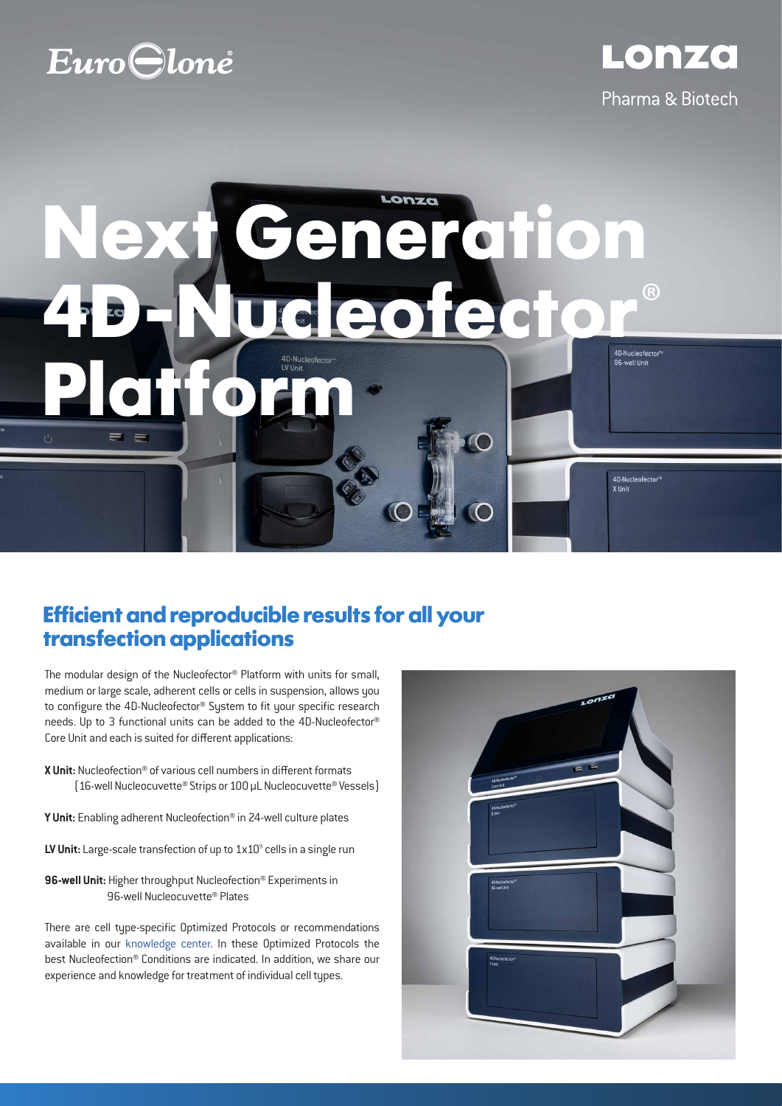# **Euro**Clone

Pharma & Biotech

4D-Nucleofector<sup>ty</sup><br>X Unit

Lonza

# **Ceneration 4D-Nucleofector**® **Platform**

## **Efficient and reproducible results for all your transfection applications**

The modular design of the Nucleofector® Platform with units for small, medium or large scale, adherent cells or cells in suspension, allows you to configure the 4D-Nucleofector® System to fit your specific research needs. Up to 3 functional units can be added to the 4D-Nucleofector® Core Unit and each is suited for different applications:

- **X Unit:** Nucleofection® of various cell numbers in different formats (16-well Nucleocuvette® Strips or 100 µL Nucleocuvette® Vessels)
- **Y Unit:** Enabling adherent Nucleofection® in 24-well culture plates
- LV Unit: Large-scale transfection of up to 1x10<sup>9</sup> cells in a single run

**96-well Unit:** Higher throughput Nucleofection® Experiments in 96-well Nucleocuvette® Plates

There are cell type-specific Optimized Protocols or recommendations available in our knowledge center. In these Optimized Protocols the best Nucleofection® Conditions are indicated. In addition, we share our experience and knowledge for treatment of individual cell types.